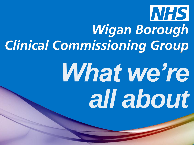

### Wigan Borough **Clinical Commissioning Group**

# What we're *all about*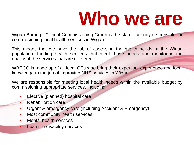### **Who we are**

Wigan Borough Clinical Commissioning Group is the statutory body responsible for commissioning local health services in Wigan.

This means that we have the job of assessing the health needs of the Wigan population, funding health services that meet those needs and monitoring the quality of the services that are delivered.

WBCCG is made up of all local GPs who bring their expertise, experience and local knowledge to the job of improving NHS services in Wigan.

We are responsible for meeting local health needs within the available budget by commissioning appropriate services, including:

- Elective (planned) hospital care
- Rehabilitation care
- Urgent & emergency care (including Accident & Emergency)
- Most community health services
- Mental health services
	- **Learning disability services**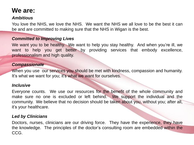#### **We are:**

#### *Ambitious*

You love the NHS, we love the NHS. We want the NHS we all love to be the best it can be and are committed to making sure that the NHS in Wigan is the best.

#### *Committed to Improving Lives*

We want you to be healthy. We want to help you stay healthy. And when you're ill, we want to help you get better by providing services that embody excellence, professionalism and high quality.

#### *Compassionate*

When you use our services you should be met with kindness, compassion and humanity. It's what we want for you; it's what we want for ourselves.

#### *Inclusive*

Everyone counts. We use our resources for the benefit of the whole community and make sure no one is excluded or left behind. We support the individual and the community. We believe that no decision should be taken about you, without you; after all, it's your healthcare.

#### *Led by Clinicians*

Doctors, nurses, clinicians are our driving force. They have the experience, they have the knowledge. The principles of the doctor's consulting room are embedded within the CCG.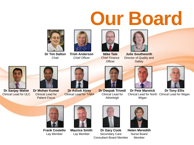## **Our Board**



**Dr Tim Dalton Chair** 



**Trish Anderson** Chief Officer



**Mike Tate** Chief Finance **Officer** 



**Julie Southworth**  Director of Quality and **Safety** 



Clinical Lead for North Clinical Lead for Wigan **Dr Tony Ellis**



**Dr Sanjay Wahie** Clinical Lead for ULC



**Dr Mohan Kumar** Clinical Lead for Patient Focus



**Dr Ashok Atrey**  Clinical Lead for TABA



**Dr Deepak Trivedi**  Clinical Lead for Atherleigh





**Dr Pete Marwick**  Wigan





Consultant Board Member **Helen Meredith** Nurse Board Member



**Frank Costello** Lay Member



**Maurice Smith** Lay Member



Secondary Care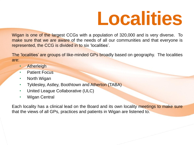

Wigan is one of the largest CCGs with a population of 320,000 and is very diverse. To make sure that we are aware of the needs of all our communities and that everyone is represented, the CCG is divided in to six 'localities'.

The 'localities' are groups of like-minded GPs broadly based on geography. The localities are:

- **Atherleigh**
- **Patient Focus**
- North Wigan
- Tyldesley, Astley, Boothtown and Atherton (TABA)
- United League Collaborative (ULC)
- Wigan Central

Each locality has a clinical lead on the Board and its own locality meetings to make sure that the views of all GPs, practices and patients in Wigan are listened to.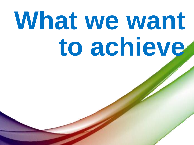# What we want **to achieve**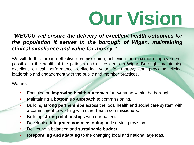## **Our Vision**

*"WBCCG will ensure the delivery of excellent health outcomes for the population it serves in the borough of Wigan, maintaining clinical excellence and value for money."*

We will do this through effective commissioning, achieving the maximum improvements possible in the health of the patients and all residents in Wigan Borough, maintaining excellent clinical performance, delivering value for money, and providing clinical leadership and engagement with the public and member practices.

We are:

- Focusing on **improving health outcomes** for everyone within the borough.
- Maintaining a **bottom up approach** to commissioning.
- Building **strong partnerships** across the local health and social care system with a commitment to working with other health commissioners.
- Building **strong relationships** with our patients.
- Developing **integrated commissioning** and service provision.
- Delivering a balanced and **sustainable budget**.
- **Responding and adapting** to the changing local and national agendas.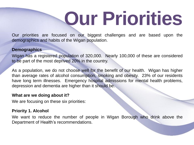## **Our Priorities**

Our priorities are focused on our biggest challenges and are based upon the demographics and habits of the Wigan population.

#### **Demographics**

Wigan has a registered population of 320,000. Nearly 100,000 of these are considered to be part of the most deprived 20% in the country.

As a population, we do not choose well for the benefit of our health. Wigan has higher than average rates of alcohol consumption, smoking and obesity. 23% of our residents have long term illnesses. Emergency hospital admissions for mental health problems, depression and dementia are higher than it should be.

#### **What are we doing about it?**

We are focusing on these six priorities:

#### **Priority 1. Alcohol**

We want to reduce the number of people in Wigan Borough who drink above the Department of Health's recommendations.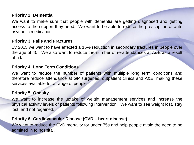#### **Priority 2: Dementia**

We want to make sure that people with dementia are getting diagnosed and getting access to the support they need. We want to be able to reduce the prescription of antipsychotic medication.

#### **Priority 3: Falls and Fractures**

By 2015 we want to have affected a 15% reduction in secondary fractures in people over the age of 40. We also want to reduce the number of re-attendances at A&E as a result of a fall.

#### **Priority 4: Long Term Conditions**

We want to reduce the number of patients with multiple long term conditions and therefore reduce attendance at GP surgeries, outpatient clinics and A&E, making these services available for a range of people.

#### **Priority 5: Obesity**

We want to increase the uptake of weight management services and increase the physical activity levels of patients following intervention. We want to see weight lost, stay lost, and not regained.

#### **Priority 6: Cardiovascular Disease (CVD – heart disease)**

We want to reduce the CVD mortality for under 75s and help people avoid the need to be admitted in to hospital.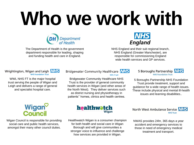# **Who we work with**



The Department of Health is the government department responsible for leading, shaping and funding health and care in England.



NHS England and their sub regional branch, NHS England (Greater Manchester), are responsible for commissioning England wide health services and GP services.

#### Wrightington, Wigan and Leigh NHS **NHS Foundation Trust**

WWL NHS FT is the major hospital trust serving the people of Wigan and Leigh and delivers a range of general and specialist hospital care.

### Wigan<sup>o</sup><br>Council

Wigan Council is responsible for providing social care and public health services, amongst their many other council duties.

#### **Bridgewater Community Healthcare NHS NHS Trust**

Bridgewater Community Healthcare NHS Trust is the provider of general community health services in Wigan (and other areas of the North West). They deliver services such as district nursing and physiotherapy in patients'' homes, clinics and health centres.



5 Boroughs Partnership NHS Foundation Trust provide treatment, support and guidance for a wide range of health issues. These include physical and mental ill-health issues and learning disabilities..



Healthwatch Wigan is a consumer champion for both health and social care in Wigan Borough and will give communities a stronger voice to influence and challenge how services are provided in Wigan.



NWAS provides 24hr, 365 days a year accident and emergency services to those in need of emergency medical treatment and transport.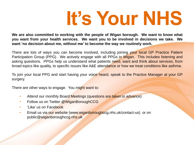### **It's Your NHS**

**We are also committed to working with the people of Wigan borough. We want to know what you want from your health services. We want you to be involved in decisions we take. We want 'no decision about me, without me' to become the way we routinely work.**

There are lots of ways you can become involved, including joining your local GP Practice Patient Participation Group (PPG). We actively engage with all PPGs in Wigan. This includes listening and asking questions. PPGs help us understand what patients need, want and think about services, from broad topics like quality, to specific issues like A&E attendance or how we treat conditions like asthma.

To join your local PPG and start having your voice heard, speak to the Practice Manager at your GP surgery.

There are other ways to engage. You might want to:

- Attend our monthly Board Meetings (questions are taken in advance)
- Follow us on Twitter @WiganBoroughCCG
- 'Like' us on Facebook
- Email us via our website (www.wiganboroughccg.nhs.uk/contact-us) or on public@wiganboroughccg.nhs.uk